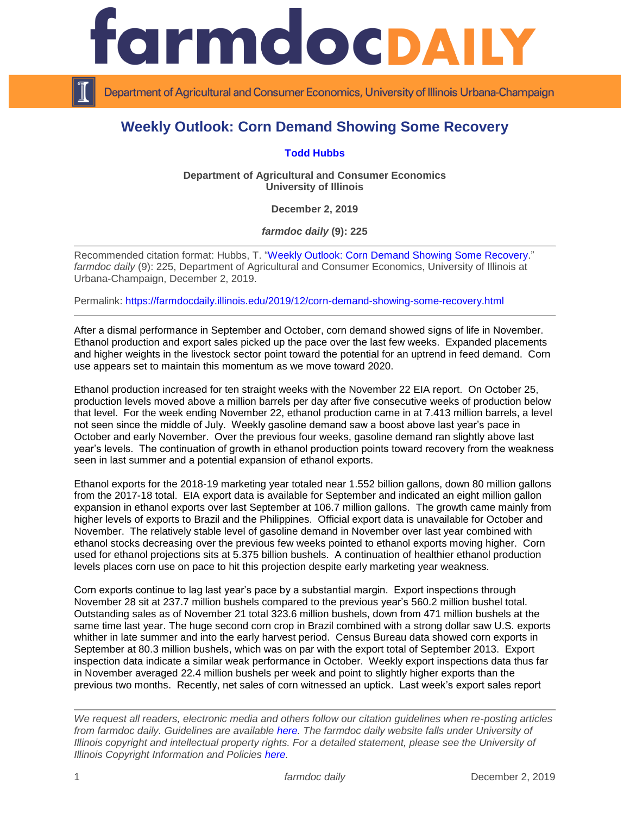

Department of Agricultural and Consumer Economics, University of Illinois Urbana-Champaign

## **Weekly Outlook: Corn Demand Showing Some Recovery**

## **[Todd Hubbs](https://ace.illinois.edu/directory/jhubbs3)**

**Department of Agricultural and Consumer Economics University of Illinois**

**December 2, 2019**

*farmdoc daily* **(9): 225**

Recommended citation format: Hubbs, T. ["Weekly Outlook: Corn Demand Showing Some Recovery.](https://farmdocdaily.illinois.edu/2019/12/corn-demand-showing-some-recovery.html)" *farmdoc daily* (9): 225, Department of Agricultural and Consumer Economics, University of Illinois at Urbana-Champaign, December 2, 2019.

Permalink:<https://farmdocdaily.illinois.edu/2019/12/corn-demand-showing-some-recovery.html>

After a dismal performance in September and October, corn demand showed signs of life in November. Ethanol production and export sales picked up the pace over the last few weeks. Expanded placements and higher weights in the livestock sector point toward the potential for an uptrend in feed demand. Corn use appears set to maintain this momentum as we move toward 2020.

Ethanol production increased for ten straight weeks with the November 22 EIA report. On October 25, production levels moved above a million barrels per day after five consecutive weeks of production below that level. For the week ending November 22, ethanol production came in at 7.413 million barrels, a level not seen since the middle of July. Weekly gasoline demand saw a boost above last year's pace in October and early November. Over the previous four weeks, gasoline demand ran slightly above last year's levels. The continuation of growth in ethanol production points toward recovery from the weakness seen in last summer and a potential expansion of ethanol exports.

Ethanol exports for the 2018-19 marketing year totaled near 1.552 billion gallons, down 80 million gallons from the 2017-18 total. EIA export data is available for September and indicated an eight million gallon expansion in ethanol exports over last September at 106.7 million gallons. The growth came mainly from higher levels of exports to Brazil and the Philippines. Official export data is unavailable for October and November. The relatively stable level of gasoline demand in November over last year combined with ethanol stocks decreasing over the previous few weeks pointed to ethanol exports moving higher. Corn used for ethanol projections sits at 5.375 billion bushels. A continuation of healthier ethanol production levels places corn use on pace to hit this projection despite early marketing year weakness.

Corn exports continue to lag last year's pace by a substantial margin. Export inspections through November 28 sit at 237.7 million bushels compared to the previous year's 560.2 million bushel total. Outstanding sales as of November 21 total 323.6 million bushels, down from 471 million bushels at the same time last year. The huge second corn crop in Brazil combined with a strong dollar saw U.S. exports whither in late summer and into the early harvest period. Census Bureau data showed corn exports in September at 80.3 million bushels, which was on par with the export total of September 2013. Export inspection data indicate a similar weak performance in October. Weekly export inspections data thus far in November averaged 22.4 million bushels per week and point to slightly higher exports than the previous two months. Recently, net sales of corn witnessed an uptick. Last week's export sales report

*We request all readers, electronic media and others follow our citation guidelines when re-posting articles from farmdoc daily. Guidelines are available [here.](http://farmdocdaily.illinois.edu/citationguide.html) The farmdoc daily website falls under University of Illinois copyright and intellectual property rights. For a detailed statement, please see the University of Illinois Copyright Information and Policies [here.](http://www.cio.illinois.edu/policies/copyright/)*